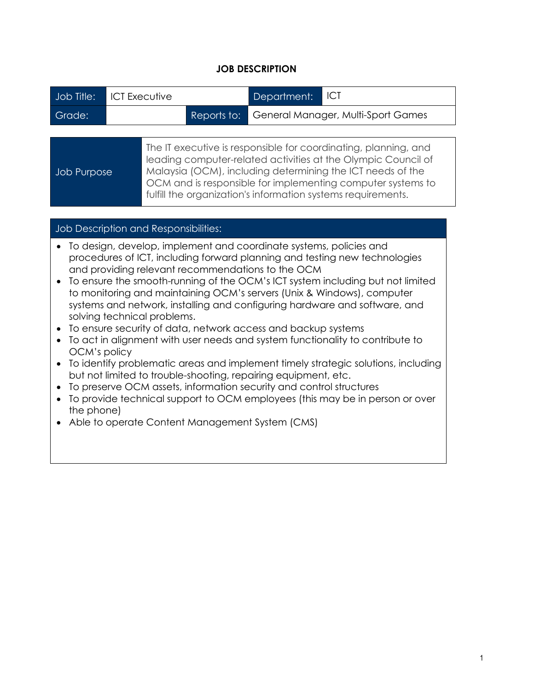## **JOB DESCRIPTION**

| Job Title:                                                         |  | <b>ICT Executive</b>                                                                                                                                                                                                                                                                                                          |             | Department: | ICT                                |  |
|--------------------------------------------------------------------|--|-------------------------------------------------------------------------------------------------------------------------------------------------------------------------------------------------------------------------------------------------------------------------------------------------------------------------------|-------------|-------------|------------------------------------|--|
| Grade:                                                             |  |                                                                                                                                                                                                                                                                                                                               | Reports to: |             | General Manager, Multi-Sport Games |  |
|                                                                    |  |                                                                                                                                                                                                                                                                                                                               |             |             |                                    |  |
| <b>Job Purpose</b>                                                 |  | The IT executive is responsible for coordinating, planning, and<br>leading computer-related activities at the Olympic Council of<br>Malaysia (OCM), including determining the ICT needs of the<br>OCM and is responsible for implementing computer systems to<br>fulfill the organization's information systems requirements. |             |             |                                    |  |
|                                                                    |  |                                                                                                                                                                                                                                                                                                                               |             |             |                                    |  |
| Job Description and Responsibilities:                              |  |                                                                                                                                                                                                                                                                                                                               |             |             |                                    |  |
| To design, develop, implement and coordinate systems, policies and |  |                                                                                                                                                                                                                                                                                                                               |             |             |                                    |  |

- procedures of ICT, including forward planning and testing new technologies and providing relevant recommendations to the OCM
- To ensure the smooth-running of the OCM's ICT system including but not limited to monitoring and maintaining OCM's servers (Unix & Windows), computer systems and network, installing and configuring hardware and software, and solving technical problems.
- To ensure security of data, network access and backup systems
- To act in alignment with user needs and system functionality to contribute to OCM's policy
- To identify problematic areas and implement timely strategic solutions, including but not limited to trouble-shooting, repairing equipment, etc.
- To preserve OCM assets, information security and control structures
- To provide technical support to OCM employees (this may be in person or over the phone)
- Able to operate Content Management System (CMS)